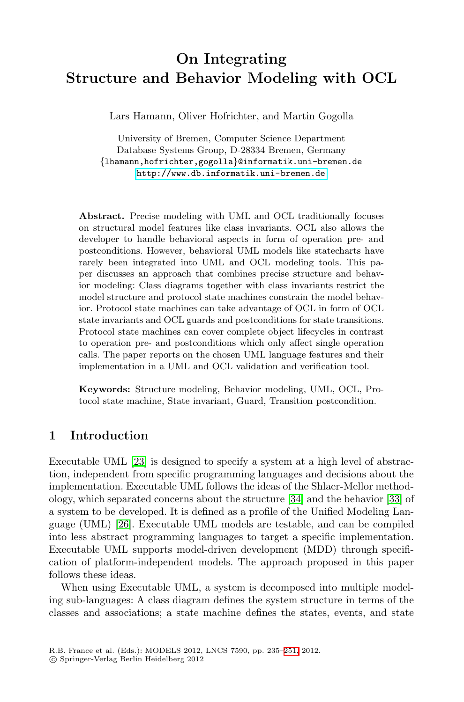# **On Integrating [Structure and Behavior](http://www.db.informatik.uni-bremen.de) Modeling with OCL**

Lars Hamann, Oliver Hofrichter, and Martin Gogolla

University of Bremen, Computer Science Department Database Systems Group, D-28334 Bremen, Germany *{*lhamann,hofrichter,gogolla*}*@informatik.uni-bremen.de http://www.db.informatik.uni-bremen.de

**Abstract.** Precise modeling with UML and OCL traditionally focuses on structural model features like class invariants. OCL also allows the developer to handle behavioral aspects in form of operation pre- and postconditions. However, behavioral UML models like statecharts have rarely been integrated into UML and OCL modeling tools. This paper discusses an approach that combines precise structure and behavior modeling: Class diagrams together with class invariants restrict the model structure and protocol state machines constrain the model behavior. Protocol state machines can take advantage of OCL in form of OCL state invariants and OCL guards and postconditions for state transitions. Protocol state machines can cover complete object lifecycles in contrast to operation pre- and postconditions which only affect single operation calls. The paper reports on the chosen UML language features and their implementation in a UML and OCL validation and verification tool.

**Keywords:** Structure modeling, Behavior modeling, UML, OCL, Protocol state machine, State inv[aria](#page-16-0)nt, Guard, Transiti[on p](#page-16-1)ostcondition.

## **1 Introduction**

Executable UML [23] is designed to specify a system at a high level of abstraction, independent from specific programming languages and decisions about the implementation. Executable UML follows the ideas of the Shlaer-Mellor methodology, which separated concerns about the structure [34] and the behavior [33] of a system to be developed. It is defined as a profile of the Unified Modeling Language (UML) [26]. Executable UML models are testable, and can be compiled into less abstract programming languages to target a specific implementation. Executable UML supports mode[l-dr](#page-16-2)iven development (MDD) through specification of platform-independent models. The approach proposed in this paper follows these ideas.

When using Executable UML, a system is decomposed into multiple modeling sub-languages: A class diagram defines the system structure in terms of the classes and associations; a state machine defines the states, events, and state

R.B. France et al. (Eds.): MODELS 2012, LNCS 7590, pp. 235–251, 2012.

<sup>-</sup>c Springer-Verlag Berlin Heidelberg 2012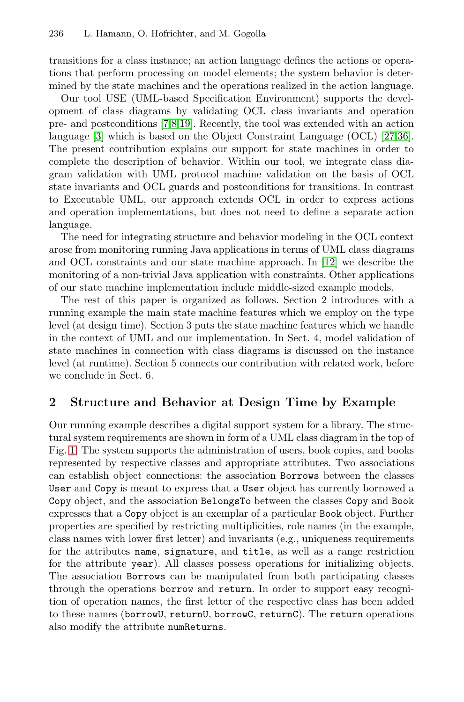transitions for a class instance; an action language defines the actions or operations that perform processing on model elements; the system behavior is determined by the state machines and the operations realized in the action language.

Our tool USE (UML-based Specification Environment) supports the development of class diagrams by validating OCL class invariants and operation pre- and postconditions [7,8,19]. Recently, the tool was extended with an action language [3] which is based on the Object Constraint Language (OCL) [27,36]. The present contribution explains our support for state machines in order to complete the description of behavior. W[ithi](#page-15-2)n our tool, we integrate class diagram validation with UML protocol machine validation on the basis of OCL state invariants and OCL guards and postconditions for transitions. In contrast to Executable UML, our approach extends OCL in order to express actions and operation implementations, but does not need to define a separate action language.

The need for integrating structure and behavior modeling in the OCL context arose from monitoring running Java applications in terms of UML class diagrams and OCL constraints and our state machine approach. In [12] we describe the monitoring of a non-trivial Java application with constraints. Other applications of our state machine implementation include middle-sized example models.

The rest of this paper is organized as follows. Section 2 introduces with a running example the main state machine features which we employ on the type level (at design time). Section 3 puts the state machine features which we handle in the context of UML and our implementation. In Sect. 4, model validation of state machines in connection with class diagrams is discussed on the instance level (at runtime). Section 5 connects our contribution with related work, before we conclude in Sect. 6.

## **2 Structure and Behavior at Design Time by Example**

Our running example describes a digital support system for a library. The structural system requirements are shown in form of a UML class diagram in the top of Fig. 1. The system supports the administration of users, book copies, and books represented by respective classes and appropriate attributes. Two associations can establish object connections: the association Borrows between the classes User and Copy is meant to express that a User object has currently borrowed a Copy object, and the association BelongsTo between the classes Copy and Book expresses that a Copy object is an exemplar of a particular Book object. Further properties are specified by restricting multiplicities, role names (in the example, class names with lower first letter) and invariants (e.g., uniqueness requirements for the attributes name, signature, and title, as well as a range restriction for the attribute year). All classes possess operations for initializing objects. The association Borrows can be manipulated from both participating classes through the operations borrow and return. In order to support easy recognition of operation names, the first letter of the respective class has been added to these names (borrowU, returnU, borrowC, returnC). The return operations also modify the attribute numReturns.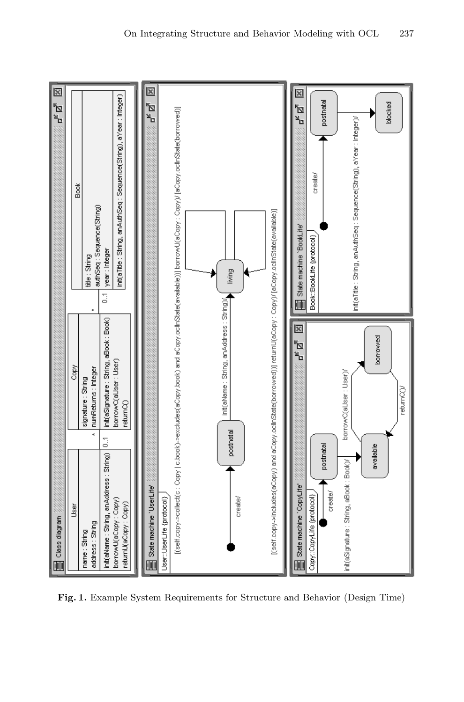

**Fig. 1.** Example System Requirements for Structure and Behavior (Design Time)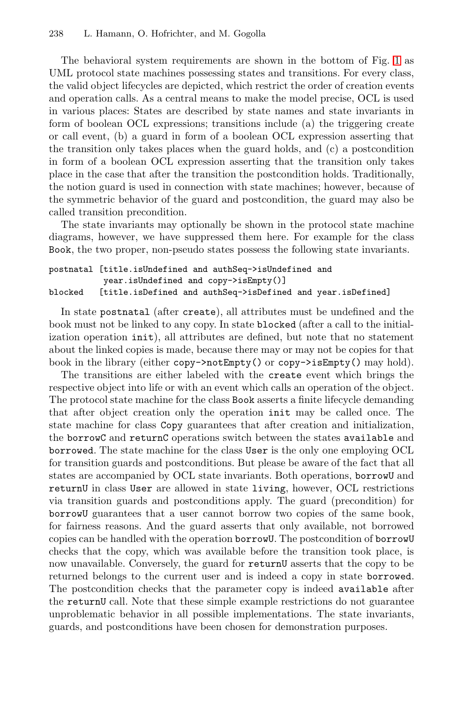The behavioral system requirements are shown in the bottom of Fig. 1 as UML protocol state machines possessing states and transitions. For every class, the valid object lifecycles are depicted, which restrict the order of creation events and operation calls. As a central means to make the model precise, OCL is used in various places: States are described by state names and state invariants in form of boolean OCL expressions; transitions include (a) the triggering create or call event, (b) a guard in form of a boolean OCL expression asserting that the transition only takes places when the guard holds, and (c) a postcondition in form of a boolean OCL expression asserting that the transition only takes place in the case that after the transition the postcondition holds. Traditionally, the notion guard is used in connection with state machines; however, because of the symmetric behavior of the guard and postcondition, the guard may also be called transition precondition.

The state invariants may optionally be shown in the protocol state machine diagrams, however, we have suppressed them here. For example for the class Book, the two proper, non-pseudo states possess the following state invariants.

postnatal [title.isUndefined and authSeq->isUndefined and year.isUndefined and copy->isEmpty()] blocked [title.isDefined and authSeq->isDefined and year.isDefined]

In state postnatal (after create), all attributes must be undefined and the book must not be linked to any copy. In state blocked (after a call to the initialization operation init), all attributes are defined, but note that no statement about the linked copies is made, because there may or may not be copies for that book in the library (either copy->notEmpty() or copy->isEmpty() may hold).

The transitions are either labeled with the create event which brings the respective object into life or with an event which calls an operation of the object. The protocol state machine for the class Book asserts a finite lifecycle demanding that after object creation only the operation init may be called once. The state machine for class Copy guarantees that after creation and initialization, the borrowC and returnC operations switch between the states available and borrowed. The state machine for the class User is the only one employing OCL for transition guards and postconditions. But please be aware of the fact that all states are accompanied by OCL state invariants. Both operations, borrowU and returnU in class User are allowed in state living, however, OCL restrictions via transition guards and postconditions apply. The guard (precondition) for borrowU guarantees that a user cannot borrow two copies of the same book, for fairness reasons. And the guard asserts that only available, not borrowed copies can be handled with the operation borrowU. The postcondition of borrowU checks that the copy, which was available before the transition took place, is now unavailable. Conversely, the guard for returnU asserts that the copy to be returned belongs to the current user and is indeed a copy in state borrowed. The postcondition checks that the parameter copy is indeed available after the returnU call. Note that these simple example restrictions do not guarantee unproblematic behavior in all possible implementations. The state invariants, guards, and postconditions have been chosen for demonstration purposes.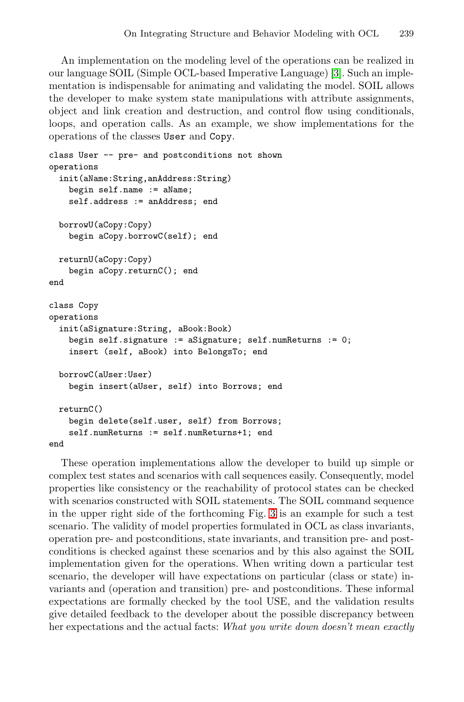An implementation on the modeling level of the operations can be realized in our language SOIL (Simple OCL-based Imperative Language) [3]. Such an implementation is indispensable for animating and validating the model. SOIL allows the developer to make system state manipulations with attribute assignments, object and link creation and destruction, and control flow using conditionals, loops, and operation calls. As an example, we show implementations for the operations of the classes User and Copy.

```
class User -- pre- and postconditions not shown
operations
 init(aName:String,anAddress:String)
    begin self.name := aName;
    self.address := anAddress; end
 borrowU(aCopy:Copy)
   begin aCopy.borrowC(self); end
 returnU(aCopy:Copy)
    begin aCopy.returnC(); end
end
class Copy
operations
 init(aSignature:String, aBook:Book)
    begin self.signature := aSignature; self.numReturns := 0;
    insert (self, aBook) into BelongsTo; end
 borrowC(aUser:User)
    begin insert(aUser, self) into Borrows; end
 returnC()
    begin delete(self.user, self) from Borrows;
    self.numReturns := self.numReturns+1; end
end
```
These operation implementations allow the developer to build up simple or complex test states and scenarios with call sequences easily. Consequently, model properties like consistency or the reachability of protocol states can be checked with scenarios constructed with SOIL statements. The SOIL command sequence in the upper right side of the forthcoming Fig. 3 is an example for such a test scenario. The validity of model properties formulated in OCL as class invariants, operation pre- and postconditions, state invariants, and transition pre- and postconditions is checked against these scenarios and by this also against the SOIL implementation given for the operations. When writing down a particular test scenario, the developer will have expectations on particular (class or state) invariants and (operation and transition) pre- and postconditions. These informal expectations are formally checked by the tool USE, and the validation results give detailed feedback to the developer about the possible discrepancy between her expectations and the actual facts: *What you write down doesn't mean exactly*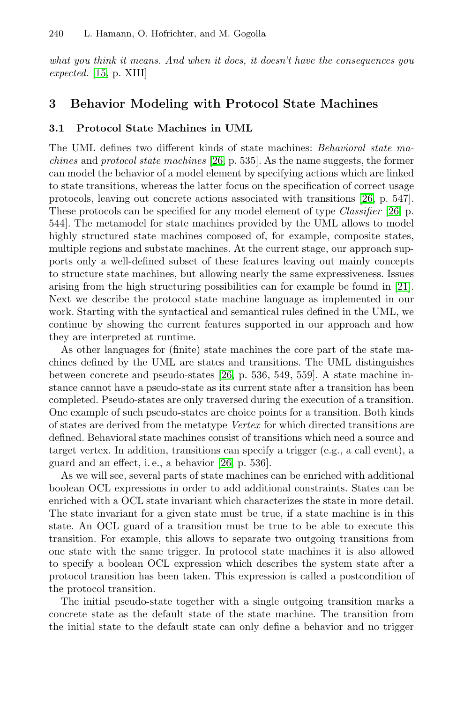*what you think it [me](#page-16-4)ans. And when it does, it doesn't have the consequences you expected.* [15, p. XIII]

## **3 Behavior Modeling with Protocol [St](#page-16-4)ate Machines**

## **3.1 Protocol State Machines in UML**

The UML defines two different kinds of state machines: *Behavioral state machines* and *protocol state machines* [26, p. 535]. As the name suggests, the former can model the behavior of a model element by specifying actions which are linked to state transitions, whereas the latter focus on the specifi[cati](#page-16-5)on of correct usage protocols, leaving out concrete actions associated with transitions [26, p. 547]. These protocols can be specified for any model element of type *Classifier* [26, p. 544]. The metamodel for state machines provided by the UML allows to model highly structured state machines composed of, for example, composite states, multiple regions and substate machines. At the current stage, our approach supports only a well-defined subset of these features leaving out mainly concepts to structure state [mach](#page-16-4)ines, but allowing nearly the same expressiveness. Issues arising from the high structuring possibilities can for example be found in [21]. Next we describe the protocol state machine language as implemented in our work. Starting with the syntactical and semantical rules defined in the UML, we continue by showing the current features supported in our approach and how they are interpreted at runtime.

As other languages for (finite) state machines the core part of the state machines defined by t[he](#page-16-4) UML are states and transitions. The UML distinguishes between concrete and pseudo-states [26, p. 536, 549, 559]. A state machine instance cannot have a pseudo-state as its current state after a transition has been completed. Pseudo-states are only traversed during the execution of a transition. One example of such pseudo-states are choice points for a transition. Both kinds of states are derived from the metatype *Vertex* for which directed transitions are defined. Behavioral state machines consist of transitions which need a source and target vertex. In addition, transitions can specify a trigger (e.g., a call event), a guard and an effect, i. e., a behavior [26, p. 536].

As we will see, several parts of state machines can be enriched with additional boolean OCL expressions in order to add additional constraints. States can be enriched with a OCL state invariant which characterizes the state in more detail. The state invariant for a given state must be true, if a state machine is in this state. An OCL guard of a transition must be true to be able to execute this transition. For example, this allows to separate two outgoing transitions from one state with the same trigger. In protocol state machines it is also allowed to specify a boolean OCL expression which describes the system state after a protocol transition has been taken. This expression is called a postcondition of the protocol transition.

The initial pseudo-state together with a single outgoing transition marks a concrete state as the default state of the state machine. The transition from the initial state to the default state can only define a behavior and no trigger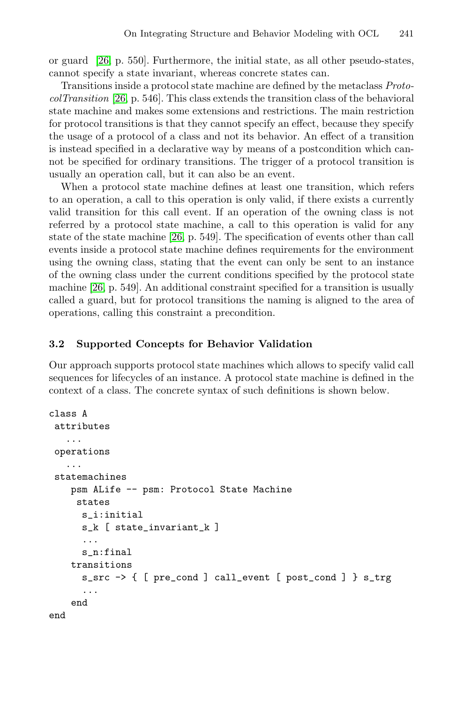or guard [26, p. 550]. Furthermore, the initial state, as all other pseudo-states, cannot specify a state invariant, whereas concrete states can.

Transitions inside a protocol state machine are defined by the metaclass *ProtocolTransition* [26, p. 546]. This class extends the transition class of the behavioral state machine and makes some extensions and restrictions. The main restriction for protocol transitions is that they cannot specify an effect, because they specify the usag[e of](#page-16-4) a protocol of a class and not its behavior. An effect of a transition is instead specified in a declarative way by means of a postcondition which cannot be specified for ordinary transitions. The trigger of a protocol transition is usually an operation call, but it can also be an event.

When a protocol state machine defines at least one transition, which refers to an operation, a call to this operation is only valid, if there exists a currently valid transition for this call event. If an operation of the owning class is not referred by a protocol state machine, a call to this operation is valid for any state of the state machine [26, p. 549]. The specification of events other than call events inside a protocol state machine defines requirements for the environment using the owning class, stating that the event can only be sent to an instance of the owning class under the current conditions specified by the protocol state machine [26, p. 549]. An additional constraint specified for a transition is usually called a guard, but for protocol transitions the naming is aligned to the area of operations, calling this constraint a precondition.

## **3.2 Supported Concepts for Behavior Validation**

Our approach supports protocol state machines which allows to specify valid call sequences for lifecycles of an instance. A protocol state machine is defined in the context of a class. The concrete syntax of such definitions is shown below.

```
class A
 attributes
   ...
 operations
   ...
 statemachines
    psm ALife -- psm: Protocol State Machine
     states
      s_i:initial
      s_k [ state_invariant_k ]
      ...
      s_n:final
    transitions
      s_src -> { [ pre_cond ] call_event [ post_cond ] } s_trg
      ...
    end
end
```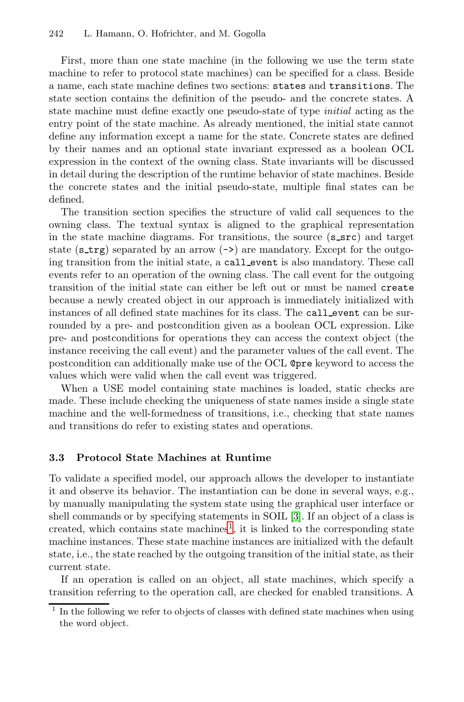First, more than one state machine (in the following we use the term state machine to refer to protocol state machines) can be specified for a class. Beside a name, each state machine defines two sections: states and transitions. The state section contains the definition of the pseudo- and the concrete states. A state machine must define exactly one pseudo-state of type *initial* acting as the entry point of the state machine. As already mentioned, the initial state cannot define any information except a name for the state. Concrete states are defined by their names and an optional state invariant expressed as a boolean OCL expression in the context of the owning class. State invariants will be discussed in detail during the description of the runtime behavior of state machines. Beside the concrete states and the initial pseudo-state, multiple final states can be defined.

The transition section specifies the structure of valid call sequences to the owning class. The textual syntax is aligned to the graphical representation in the state machine diagrams. For transitions, the source  $(s\text{-src})$  and target state (s\_trg) separated by an arrow  $(\rightarrow)$  are mandatory. Except for the outgoing transition from the initial state, a call event is also mandatory. These call events refer to an operation of the owning class. The call event for the outgoing transition of the initial state can either be left out or must be named create because a newly created object in our approach is immediately initialized with instances of all defined state machines for its class. The call event can be surrounded by a pre- and postcondition given as a boolean OCL expression. Like pre- and postconditions for operations they can access the context object (the instance receiving the call event) and the parameter values of the call event. The postcondition can additionally make use of the OCL @pre keyword to access the values which were valid when the call event was triggered.

When a USE model containing state machines is loaded, static checks are made. These include checking the uniqueness of state names inside a single state machine and the well-formedness of transitions, i.e., checking that state names and transitions do re[fe](#page-7-0)r to existing [st](#page-15-3)ates and operations.

#### <span id="page-7-0"></span>**3.3 Protocol State Machines at Runtime**

To validate a specified model, our approach allows the developer to instantiate it and observe its behavior. The instantiation can be done in several ways, e.g., by manually manipulating the system state using the graphical user interface or shell commands or by specifying statements in SOIL [3]. If an object of a class is created, which contains state machines<sup>1</sup>, it is linked to the corresponding state machine instances. These state machine instances are initialized with the default state, i.e., the state reached by the outgoing transition of the initial state, as their current state.

If an operation is called on an object, all state machines, which specify a transition referring to the operation call, are checked for enabled transitions. A

<sup>1</sup> In the following we refer to objects of classes with defined state machines when using the word object.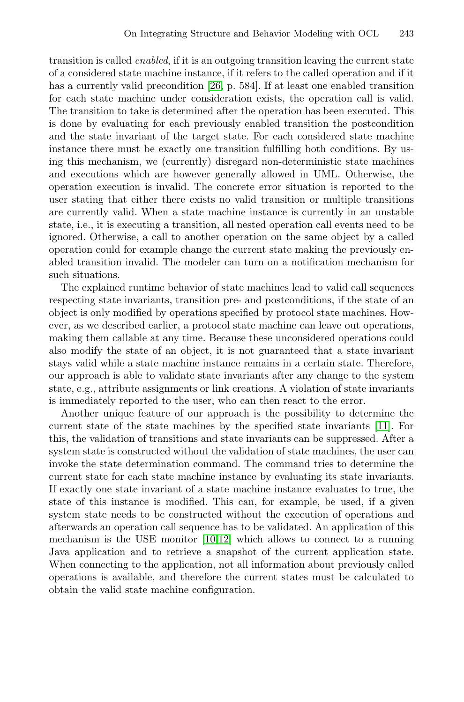transition is called *enabled*, if it is an outgoing transition leaving the current state of a considered state machine instance, if it refers to the called operation and if it has a currently valid precondition [26, p. 584]. If at least one enabled transition for each state machine under consideration exists, the operation call is valid. The transition to take is determined after the operation has been executed. This is done by evaluating for each previously enabled transition the postcondition and the state invariant of the target state. For each considered state machine instance there must be exactly one transition fulfilling both conditions. By using this mechanism, we (currently) disregard non-deterministic state machines and executions which are however generally allowed in UML. Otherwise, the operation execution is invalid. The concrete error situation is reported to the user stating that either there exists no valid transition or multiple transitions are currently valid. When a state machine instance is currently in an unstable state, i.e., it is executing a transition, all nested operation call events need to be ignored. Otherwise, a call to another operation on the same object by a called operation could for example change the current state making the previously enabled transition invalid. The modeler can turn on a notification mechanism for such situations.

The explained runtime behavior of state machines lead to valid call sequences respecting state invariants, transition pre- and postconditions, if the state of an object is only modified by operations specified by protocol state machines. However, as we described earlier, a protocol state machin[e ca](#page-15-4)n leave out operations, making them callable at any time. Because these unconsidered operations could also modify the state of an object, it is not guaranteed that a state invariant stays valid while a state machine instance remains in a certain state. Therefore, our approach is able to validate state invariants after any change to the system state, e.g., attribute assignments or link creations. A violation of state invariants is immediately reported to the user, who can then react to the error.

Another unique feature of our approach is the possibility to determine the current state of the state machines by the specified state invariants [11]. For this, the validat[ion](#page-15-5) [of](#page-15-2) transitions and state invariants can be suppressed. After a system state is constructed without the validation of state machines, the user can invoke the state determination command. The command tries to determine the current state for each state machine instance by evaluating its state invariants. If exactly one state invariant of a state machine instance evaluates to true, the state of this instance is modified. This can, for example, be used, if a given system state needs to be constructed without the execution of operations and afterwards an operation call sequence has to be validated. An application of this mechanism is the USE monitor [10,12] which allows to connect to a running Java application and to retrieve a snapshot of the current application state. When connecting to the application, not all information about previously called operations is available, and therefore the current states must be calculated to obtain the valid state machine configuration.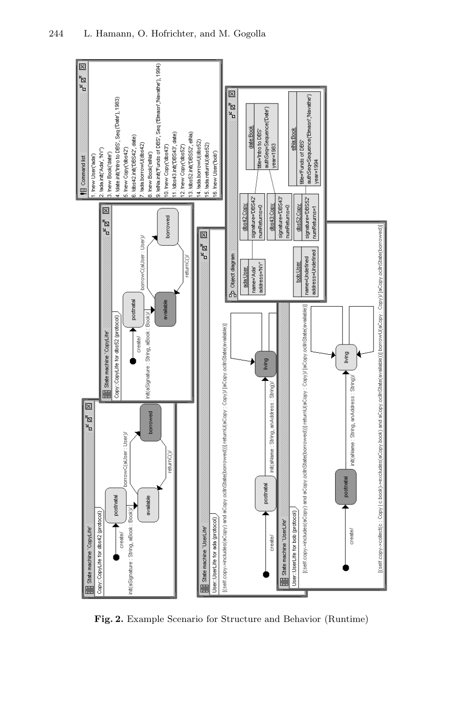

<span id="page-9-0"></span>**Fig. 2.** Example Scenario for Structure and Behavior (Runtime)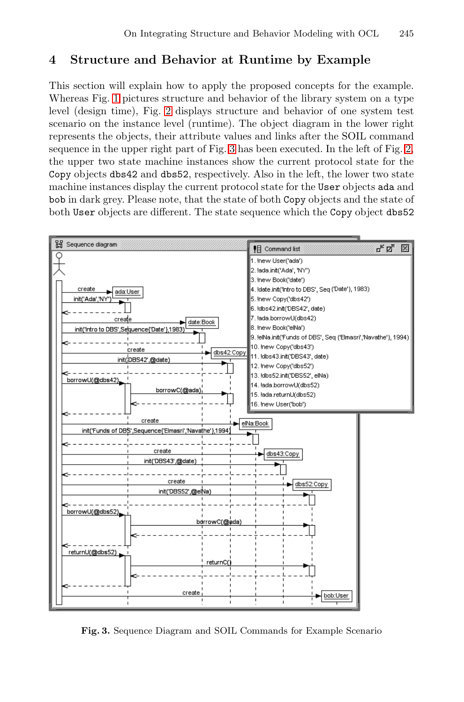# **4 Structure a[nd](#page-10-0) Behavior at Runtime by [Ex](#page-9-0)ample**

This section will explain how to apply the proposed concepts for the example. Whereas Fig. 1 pictures structure and behavior of the library system on a type level (design time), Fig. 2 displays structure and behavior of one system test scenario on the instance level (runtime). The object diagram in the lower right represents the objects, their attribute values and links after the SOIL command sequence in the upper right part of Fig. 3 has been executed. In the left of Fig. 2, the upper two state machine instances show the current protocol state for the Copy objects dbs42 and dbs52, respectively. Also in the left, the lower two state machine instances display the current protocol state for the User objects ada and bob in dark grey. Please note, that the state of both Copy objects and the state of both User objects are different. The state sequence which the Copy object dbs52



<span id="page-10-0"></span>**Fig. 3.** Sequence Diagram and SOIL Commands for Example Scenario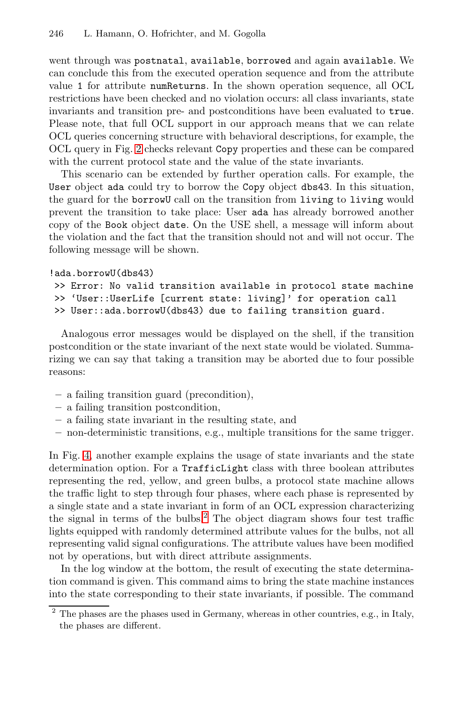[we](#page-9-0)nt through was postnatal, available, borrowed and again available. We can conclude this from the executed operation sequence and from the attribute value 1 for attribute numReturns. In the shown operation sequence, all OCL restrictions have been checked and no violation occurs: all class invariants, state invariants and transition pre- and postconditions have been evaluated to true. Please note, that full OCL support in our approach means that we can relate OCL queries concerning structure with behavioral descriptions, for example, the OCL query in Fig. 2 checks relevant Copy properties and these can be compared with the current protocol state and the value of the state invariants.

This scenario can be extended by further operation calls. For example, the User object ada could try to borrow the Copy object dbs43. In this situation, the guard for the borrowU call on the transition from living to living would prevent the transition to take place: User ada has already borrowed another copy of the Book object date. On the USE shell, a message will inform about the violation and the fact that the transition should not and will not occur. The following message will be shown.

## !ada.borrowU(dbs43)

```
>> Error: No valid transition available in protocol state machine
>> 'User::UserLife [current state: living]' for operation call
>> User::ada.borrowU(dbs43) due to failing transition guard.
```
Analogous error messages would be displayed on the shell, if the transition postcondition or the state invariant of the next state would be violated. Summarizing we can say that taking a transition may be aborted due to four possible reasons:

- **–** a failing transition guard (precondition),
- **–** a failing transition postcondition,
- **–** a failing st[ate](#page-11-0) invariant in the resulting state, and
- <span id="page-11-0"></span>**–** non-deterministic transitions, e.g., multiple transitions for the same trigger.

In Fig. 4, another example explains the usage of state invariants and the state determination option. For a TrafficLight class with three boolean attributes representing the red, yellow, and green bulbs, a protocol state machine allows the traffic light to step through four phases, where each phase is represented by a single state and a state invariant in form of an OCL expression characterizing the signal in terms of the bulbs.<sup>2</sup> The object diagram shows four test traffic lights equipped with randomly determined attribute values for the bulbs, not all representing valid signal configurations. The attribute values have been modified not by operations, but with direct attribute assignments.

In the log window at the bottom, the result of executing the state determination command is given. This command aims to bring the state machine instances into the state corresponding to their state invariants, if possible. The command

<sup>2</sup> The phases are the phases used in Germany, whereas in other countries, e.g., in Italy, the phases are different.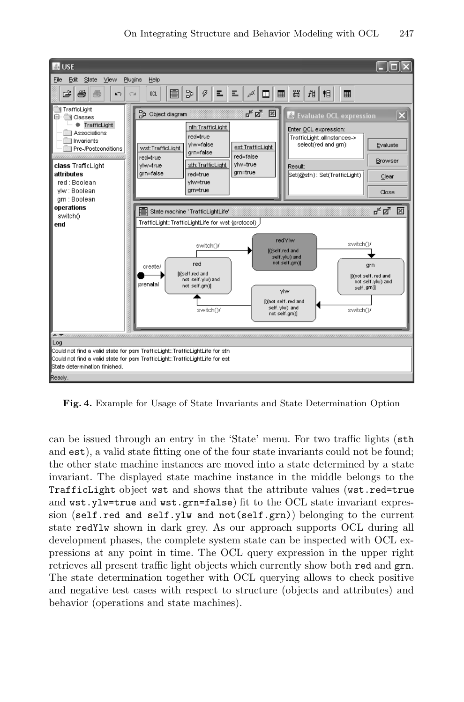

**Fig. 4.** Example for Usage of State Invariants and State Determination Option

can be issued through an entry in the 'State' menu. For two traffic lights (sth and est), a valid state fitting one of the four state invariants could not be found; the other state machine instances are moved into a state determined by a state invariant. The displayed state machine instance in the middle belongs to the TrafficLight object wst and shows that the attribute values (wst.red=true and  $wst.ylw=true$  and  $wst.grn=false)$  fit to the OCL state invariant expression (self.red and self.ylw and not(self.grn)) belonging to the current state redYlw shown in dark grey. As our approach supports OCL during all development phases, the complete system state can be inspected with OCL expressions at any point in time. The OCL query expression in the upper right retrieves all present traffic light objects which currently show both red and grn. The state determination together with OCL querying allows to check positive and negative test cases with respect to structure (objects and attributes) and behavior (operations and state machines).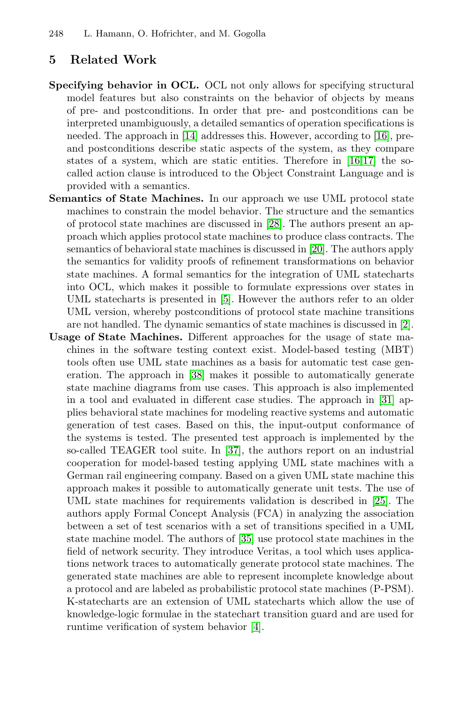## **5 Related Work**

- **Specifying behavior in OCL.** OCL not only allows for specifying structural model features but also constraints on the behavior of objects by means of pre- and postconditions. In order that pre- and postconditions can be interpreted unambiguousl[y, a](#page-16-6) detailed semantics of operation specifications is needed. The approach in [14] addresses this. However, according to [16], preand postconditions describe static [asp](#page-16-7)ects of the system, as they compare states of a system, which are static entities. Therefore in [16,17] the socalled action clause is introduced to the Object Constraint Language and is provided with a semantics.
- **Semantics of Sta[te](#page-15-7) Machines.** In our approach we use UML protocol state machines to constrain the model behavior. The structure and the semantics of protocol state machines are discussed in [28]. The a[uth](#page-15-8)ors present an approach which applies protocol state machines to produce class contracts. The semantics of behavioral state machines is discussed in [20]. The authors apply the semantics for validity proofs of refinement transformations on behavior state ma[chin](#page-16-8)es. A formal semantics for the integration of UML statecharts into OCL, which makes it possible to formulate expressions over states in UML statecharts is presented in [5]. However the [aut](#page-16-9)hors refer to an older UML version, whereby postconditions of protocol state machine transitions are not handled. The dynamic semantics of state machines is discussed in [2].
- **Usage of State Machines.** Different approaches for the usage of state machines in the so[ftw](#page-16-10)are testing context exist. Model-based testing (MBT) tools often use UML state machines as a basis for automatic test case generation. The approach in [38] makes it possible to automatically generate state machine diagrams from use cases. This approach is also implemented in a tool and evaluated in different case studies[. T](#page-16-11)he approach in [31] applies behavioral state machines for modeling reactive systems and automatic generation of test cases. Based on this, the input-output conformance of the systems is test[ed.](#page-16-12) The presented test approach is implemented by the so-called TEAGER tool suite. In [37], the authors report on an industrial cooperation for model-based testing applying UML state machines with a German rail engineering company. Based on a given UML state machine this approach makes it possible to automatically generate unit tests. The use of UML state machines for requirements validation is described in [25]. The authors apply Formal Concept Analysis (FCA) in analyzing the association between a set of test [sce](#page-15-9)narios with a set of transitions specified in a UML state machine model. The authors of [35] use protocol state machines in the field of network security. They introduce Veritas, a tool which uses applications network traces to automatically generate protocol state machines. The generated state machines are able to represent incomplete knowledge about a protocol and are labeled as probabilistic protocol state machines (P-PSM). K-statecharts are an extension of UML statecharts which allow the use of knowledge-logic formulae in the statechart transition guard and are used for runtime verification of system behavior [4].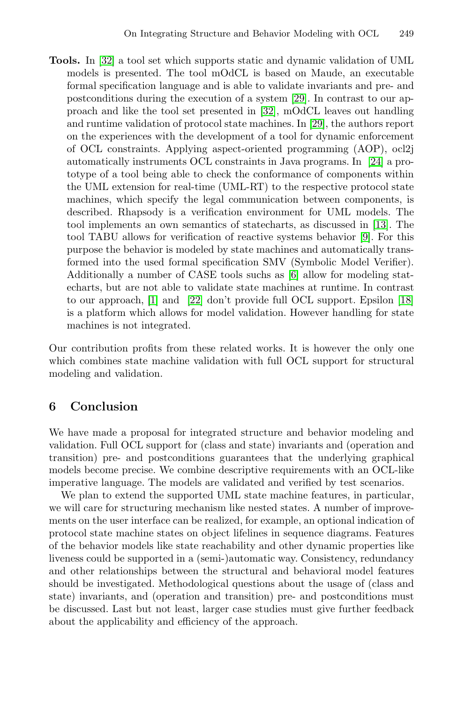**Tools.** In [32] a tool set which supports static and [dyn](#page-16-14)amic validation of UML models is presented. The tool mOdCL is based on Maude, an executable formal specification language and is able to validate invariants and pre- and postconditions during the execution of a system [29]. In contrast to our approach and like the tool set presented in [32], mOdCL leaves out handling and runtime validation of protocol state machines[. In](#page-15-10) [29], the authors report on the experiences with the development of a [to](#page-15-11)ol for dynamic enforcement of OCL constraints. Applying aspect-oriented programming (AOP), ocl2j automatically instruments OCL constraints in Java programs. In [24] a prototype of a tool being able to [ch](#page-15-12)eck the conformance of components within the UML extension for real-time (UML-RT) to the respective protocol state [m](#page-15-13)achine[s, w](#page-16-15)hich specify the legal communication be[twe](#page-16-16)en components, is described. Rhapsody is a verification environment for UML models. The tool implements an own semantics of statecharts, as discussed in [13]. The tool TABU allows for verification of reactive systems behavior [9]. For this purpose the behavior is modeled by state machines and automatically transformed into the used formal specification SMV (Symbolic Model Verifier). Additionally a number of CASE tools suchs as [6] allow for modeling statecharts, but are not able to validate state machines at runtime. In contrast to our approach, [1] and [22] don't provide full OCL support. Epsilon [18] is a platform which allows for model validation. However handling for state machines is not integrated.

Our contribution profits from these related works. It is however the only one which combines state machine validation with full OCL support for structural modeling and validation.

# **6 Conclusion**

We have made a proposal for integrated structure and behavior modeling and validation. Full OCL support for (class and state) invariants and (operation and transition) pre- and postconditions guarantees that the underlying graphical models become precise. We combine descriptive requirements with an OCL-like imperative language. The models are validated and verified by test scenarios.

We plan to extend the supported UML state machine features, in particular, we will care for structuring mechanism like nested states. A number of improvements on the user interface can be realized, for example, an optional indication of protocol state machine states on object lifelines in sequence diagrams. Features of the behavior models like state reachability and other dynamic properties like liveness could be supported in a (semi-)automatic way. Consistency, redundancy and other relationships between the structural and behavioral model features should be investigated. Methodological questions about the usage of (class and state) invariants, and (operation and transition) pre- and postconditions must be discussed. Last but not least, larger case studies must give further feedback about the applicability and efficiency of the approach.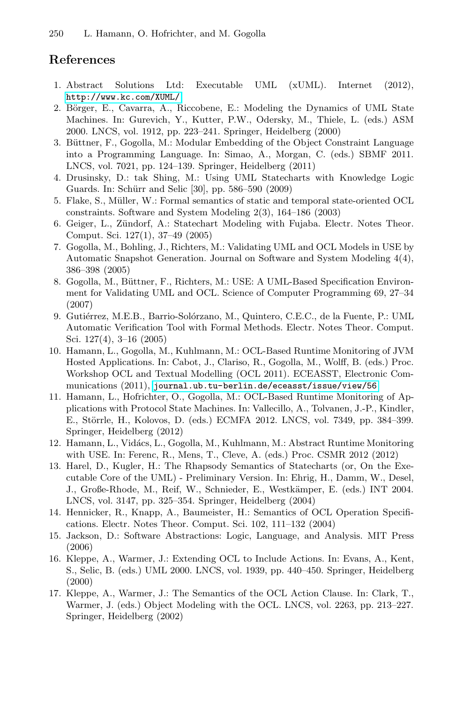## <span id="page-15-13"></span><span id="page-15-12"></span><span id="page-15-9"></span><span id="page-15-8"></span><span id="page-15-7"></span><span id="page-15-3"></span><span id="page-15-0"></span>**References**

- <span id="page-15-1"></span>1. Abstract Solutions Ltd: Executable UML (xUML). Internet (2012), http://www.kc.com/XUML/
- <span id="page-15-11"></span>2. Börger, E., Cavarra, A., Riccobene, E.: Modeling the Dynamics of UML State Machines. In: Gurevich, Y., Kutter, P.W., Odersky, M., Thiele, L. (eds.) ASM 2000. LNCS, vol. 1912, pp. 223–241. Springer, Heidelberg (2000)
- <span id="page-15-5"></span>3. Büttner, F., Gogolla, M.; Modular Embedding of the Object Constraint Language into a Programming Language. In: Simao, A., Morgan, C. (eds.) SBMF 2011. LNCS, vol. 7021, pp. 124–139. Springer, Heidelberg (2011)
- 4. Drusinsky, D.: tak Shing, M.: Using UML Statecharts with Knowledge Logic Guards. In: Schürr and Selic [30], pp. 586–590 (2009)
- <span id="page-15-4"></span>5. Flake, S., M¨uller, W.: Formal semantics of static and temporal state-oriented OCL constraints. Software and System Modeling 2(3), 164–186 (2003)
- 6. Geiger, L., Z¨undorf, A.: Statechart Modeling with Fujaba. Electr. Notes Theor. Comput. Sci. 127(1), 37–49 (2005)
- <span id="page-15-2"></span>7. Gogolla, M., Bohling, J., Richters, M.: Validating UML and OCL Models in USE by Automatic Snapshot Generation. Journal on Software and System Modeling 4(4), 386–398 (2005)
- <span id="page-15-10"></span>8. Gogolla, M., Büttner, F., Richters, M.: USE: A UML-Based Specification Environ[ment](journal.ub.tu-berlin.de/eceasst/issue/view/56) [for](journal.ub.tu-berlin.de/eceasst/issue/view/56) [Validating](journal.ub.tu-berlin.de/eceasst/issue/view/56) [UML](journal.ub.tu-berlin.de/eceasst/issue/view/56) [and](journal.ub.tu-berlin.de/eceasst/issue/view/56) [OCL.](journal.ub.tu-berlin.de/eceasst/issue/view/56) [Science](journal.ub.tu-berlin.de/eceasst/issue/view/56) [of](journal.ub.tu-berlin.de/eceasst/issue/view/56) [Compu](journal.ub.tu-berlin.de/eceasst/issue/view/56)ter Programming 69, 27–34 (2007)
- <span id="page-15-6"></span>9. Gutiérrez, M.E.B., Barrio-Solórzano, M., Quintero, C.E.C., de la Fuente, P.: UML Automatic Verification Tool with Formal Methods. Electr. Notes Theor. Comput. Sci. 127(4), 3–16 (2005)
- 10. Hamann, L., Gogolla, M., Kuhlmann, M.: OCL-Based Runtime Monitoring of JVM Hosted Applications. In: Cabot, J., Clariso, R., Gogolla, M., Wolff, B. (eds.) Proc. Workshop OCL and Textual Modelling (OCL 2011). ECEASST, Electronic Communications (2011), journal.ub.tu-berlin.de/eceasst/issue/view/56
- 11. Hamann, L., Hofrichter, O., Gogolla, M.: OCL-Based Runtime Monitoring of Applications with Protocol State Machines. In: Vallecillo, A., Tolvanen, J.-P., Kindler, E., Störrle, H., Kolovos, D. (eds.) ECMFA 2012. LNCS, vol. 7349, pp. 384–399. Springer, Heidelberg (2012)
- 12. Hamann, L., Vidács, L., Gogolla, M., Kuhlmann, M.: Abstract Runtime Monitoring with USE. In: Ferenc, R., Mens, T., Cleve, A. (eds.) Proc. CSMR 2012 (2012)
- 13. Harel, D., Kugler, H.: The Rhapsody Semantics of Statecharts (or, On the Executable Core of the UML) - Preliminary Version. In: Ehrig, H., Damm, W., Desel, J., Große-Rhode, M., Reif, W., Schnieder, E., Westkämper, E. (eds.) INT 2004. LNCS, vol. 3147, pp. 325–354. Springer, Heidelberg (2004)
- 14. Hennicker, R., Knapp, A., Baumeister, H.: Semantics of OCL Operation Specifications. Electr. Notes Theor. Comput. Sci. 102, 111–132 (2004)
- 15. Jackson, D.: Software Abstractions: Logic, Language, and Analysis. MIT Press (2006)
- 16. Kleppe, A., Warmer, J.: Extending OCL to Include Actions. In: Evans, A., Kent, S., Selic, B. (eds.) UML 2000. LNCS, vol. 1939, pp. 440–450. Springer, Heidelberg (2000)
- 17. Kleppe, A., Warmer, J.: The Semantics of the OCL Action Clause. In: Clark, T., Warmer, J. (eds.) Object Modeling with the OCL. LNCS, vol. 2263, pp. 213–227. Springer, Heidelberg (2002)